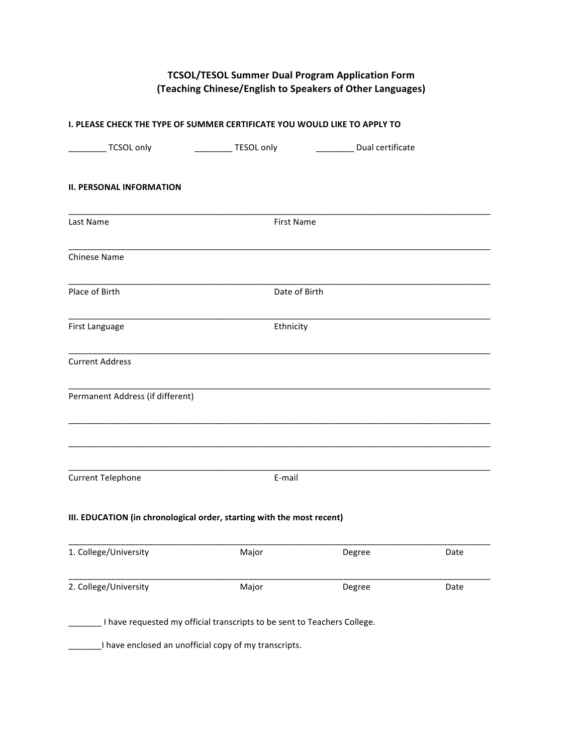# **TCSOL/TESOL Summer Dual Program Application Form (Teaching Chinese/English to Speakers of Other Languages)**

| I. PLEASE CHECK THE TYPE OF SUMMER CERTIFICATE YOU WOULD LIKE TO APPLY TO |                        |                            |      |  |  |
|---------------------------------------------------------------------------|------------------------|----------------------------|------|--|--|
| ___ TCSOL only                                                            | ___________ TESOL only | _________ Dual certificate |      |  |  |
| <b>II. PERSONAL INFORMATION</b>                                           |                        |                            |      |  |  |
| Last Name                                                                 | <b>First Name</b>      |                            |      |  |  |
| Chinese Name                                                              |                        |                            |      |  |  |
| Place of Birth                                                            | Date of Birth          |                            |      |  |  |
| First Language                                                            | Ethnicity              |                            |      |  |  |
| <b>Current Address</b>                                                    |                        |                            |      |  |  |
| Permanent Address (if different)                                          |                        |                            |      |  |  |
| <b>Current Telephone</b>                                                  | E-mail                 |                            |      |  |  |
| III. EDUCATION (in chronological order, starting with the most recent)    |                        |                            |      |  |  |
| 1. College/University                                                     | Major                  | Degree                     | Date |  |  |
| 2. College/University                                                     | Major                  | Degree                     | Date |  |  |
| I have requested my official transcripts to be sent to Teachers College.  |                        |                            |      |  |  |
| I have enclosed an unofficial copy of my transcripts.                     |                        |                            |      |  |  |